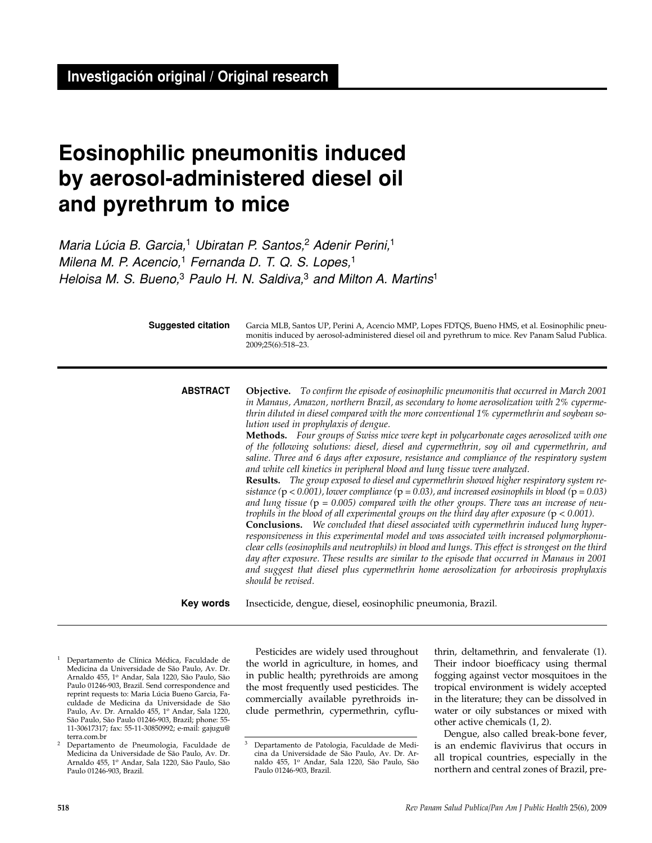# **Eosinophilic pneumonitis induced by aerosol-administered diesel oil and pyrethrum to mice**

Maria Lúcia B. Garcia,<sup>1</sup> Ubiratan P. Santos,<sup>2</sup> Adenir Perini.<sup>1</sup> Milena M. P. Acencio,<sup>1</sup> Fernanda D. T. Q. S. Lopes,<sup>1</sup> Heloisa M. S. Bueno, $3$  Paulo H. N. Saldiva, $3$  and Milton A. Martins<sup>1</sup>

> Garcia MLB, Santos UP, Perini A, Acencio MMP, Lopes FDTQS, Bueno HMS, et al. Eosinophilic pneumonitis induced by aerosol-administered diesel oil and pyrethrum to mice. Rev Panam Salud Publica. 2009;25(6):518–23. **Suggested citation**

**Objective.** *To confirm the episode of eosinophilic pneumonitis that occurred in March 2001 in Manaus, Amazon, northern Brazil, as secondary to home aerosolization with 2% cypermethrin diluted in diesel compared with the more conventional 1% cypermethrin and soybean solution used in prophylaxis of dengue.* **Methods.** *Four groups of Swiss mice were kept in polycarbonate cages aerosolized with one* **ABSTRACT**

*of the following solutions: diesel, diesel and cypermethrin, soy oil and cypermethrin, and saline. Three and 6 days after exposure, resistance and compliance of the respiratory system and white cell kinetics in peripheral blood and lung tissue were analyzed.*

**Results.** *The group exposed to diesel and cypermethrin showed higher respiratory system resistance (*p *< 0.001), lower compliance (*p *= 0.03), and increased eosinophils in blood (*p *= 0.03) and lung tissue (*p *= 0.005) compared with the other groups. There was an increase of neutrophils in the blood of all experimental groups on the third day after exposure (*p *< 0.001).* 

**Conclusions.** *We concluded that diesel associated with cypermethrin induced lung hyperresponsiveness in this experimental model and was associated with increased polymorphonuclear cells (eosinophils and neutrophils) in blood and lungs. This effect is strongest on the third day after exposure. These results are similar to the episode that occurred in Manaus in 2001 and suggest that diesel plus cypermethrin home aerosolization for arbovirosis prophylaxis should be revised.*

Insecticide, dengue, diesel, eosinophilic pneumonia, Brazil. **Key words**

- <sup>1</sup> Departamento de Clínica Médica, Faculdade de Medicina da Universidade de São Paulo, Av. Dr. Arnaldo 455, 1<sup>o</sup> Andar, Sala 1220, São Paulo, São Paulo 01246-903, Brazil. Send correspondence and reprint requests to: Maria Lúcia Bueno Garcia, Faculdade de Medicina da Universidade de São Paulo, Av. Dr. Arnaldo 455, 1º Andar, Sala 1220, São Paulo, São Paulo 01246-903, Brazil; phone: 55- 11-30617317; fax: 55-11-30850992; e-mail: gajugu@ terra.com.br
- <sup>2</sup> Departamento de Pneumologia, Faculdade de Medicina da Universidade de São Paulo, Av. Dr.<br>Arnaldo 455, 1º Andar, Sala 1220, São Paulo, São Paulo 01246-903, Brazil.

Pesticides are widely used throughout the world in agriculture, in homes, and in public health; pyrethroids are among the most frequently used pesticides. The commercially available pyrethroids include permethrin, cypermethrin, cyflu-

thrin, deltamethrin, and fenvalerate (1). Their indoor bioefficacy using thermal fogging against vector mosquitoes in the tropical environment is widely accepted in the literature; they can be dissolved in water or oily substances or mixed with other active chemicals (1, 2).

Dengue, also called break-bone fever, is an endemic flavivirus that occurs in all tropical countries, especially in the northern and central zones of Brazil, pre-

<sup>3</sup> Departamento de Patologia, Faculdade de Medicina da Universidade de São Paulo, Av. Dr. Arnaldo 455, 1<sup>o</sup> Andar, Sala 1220, São Paulo, São Paulo 01246-903, Brazil.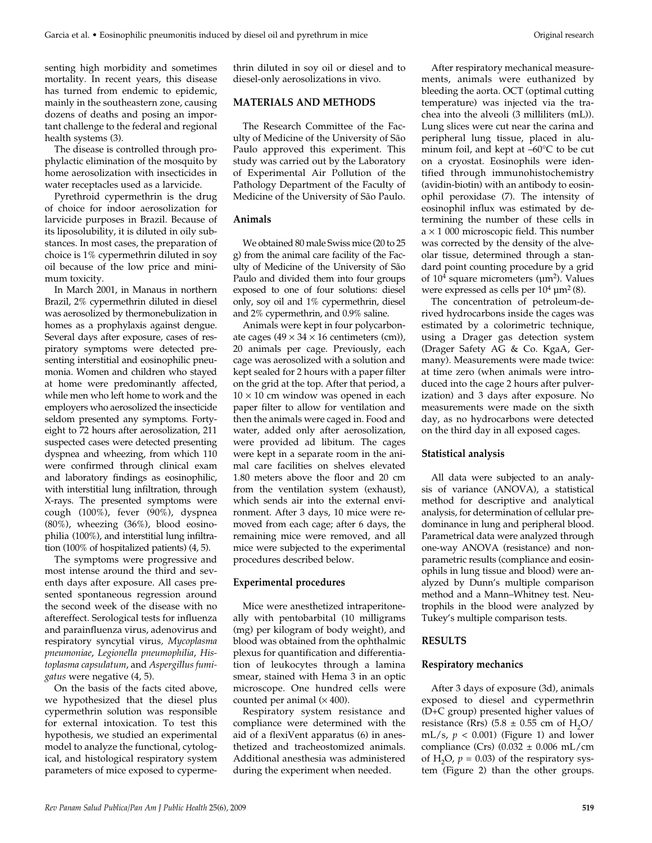senting high morbidity and sometimes mortality. In recent years, this disease has turned from endemic to epidemic, mainly in the southeastern zone, causing dozens of deaths and posing an important challenge to the federal and regional health systems (3).

The disease is controlled through prophylactic elimination of the mosquito by home aerosolization with insecticides in water receptacles used as a larvicide.

Pyrethroid cypermethrin is the drug of choice for indoor aerosolization for larvicide purposes in Brazil. Because of its liposolubility, it is diluted in oily substances. In most cases, the preparation of choice is 1% cypermethrin diluted in soy oil because of the low price and minimum toxicity.

In March 2001, in Manaus in northern Brazil, 2% cypermethrin diluted in diesel was aerosolized by thermonebulization in homes as a prophylaxis against dengue. Several days after exposure, cases of respiratory symptoms were detected presenting interstitial and eosinophilic pneumonia. Women and children who stayed at home were predominantly affected, while men who left home to work and the employers who aerosolized the insecticide seldom presented any symptoms. Fortyeight to 72 hours after aerosolization, 211 suspected cases were detected presenting dyspnea and wheezing, from which 110 were confirmed through clinical exam and laboratory findings as eosinophilic, with interstitial lung infiltration, through X-rays. The presented symptoms were cough (100%), fever (90%), dyspnea (80%), wheezing (36%), blood eosinophilia (100%), and interstitial lung infiltration (100% of hospitalized patients) (4, 5).

The symptoms were progressive and most intense around the third and seventh days after exposure. All cases presented spontaneous regression around the second week of the disease with no aftereffect. Serological tests for influenza and parainfluenza virus, adenovirus and respiratory syncytial virus*, Mycoplasma pneumoniae*, *Legionella pneumophilia*, *Histoplasma capsulatum*, and *Aspergillus fumigatus* were negative (4, 5).

On the basis of the facts cited above, we hypothesized that the diesel plus cypermethrin solution was responsible for external intoxication. To test this hypothesis, we studied an experimental model to analyze the functional, cytological, and histological respiratory system parameters of mice exposed to cypermethrin diluted in soy oil or diesel and to diesel-only aerosolizations in vivo.

# **MATERIALS AND METHODS**

The Research Committee of the Faculty of Medicine of the University of São Paulo approved this experiment. This study was carried out by the Laboratory of Experimental Air Pollution of the Pathology Department of the Faculty of Medicine of the University of São Paulo.

# **Animals**

We obtained 80 male Swiss mice (20 to 25 g) from the animal care facility of the Faculty of Medicine of the University of São Paulo and divided them into four groups exposed to one of four solutions: diesel only, soy oil and 1% cypermethrin, diesel and 2% cypermethrin, and 0.9% saline.

Animals were kept in four polycarbonate cages  $(49 \times 34 \times 16$  centimeters (cm)), 20 animals per cage. Previously, each cage was aerosolized with a solution and kept sealed for 2 hours with a paper filter on the grid at the top. After that period, a  $10 \times 10$  cm window was opened in each paper filter to allow for ventilation and then the animals were caged in. Food and water, added only after aerosolization, were provided ad libitum. The cages were kept in a separate room in the animal care facilities on shelves elevated 1.80 meters above the floor and 20 cm from the ventilation system (exhaust), which sends air into the external environment. After 3 days, 10 mice were removed from each cage; after 6 days, the remaining mice were removed, and all mice were subjected to the experimental procedures described below.

# **Experimental procedures**

Mice were anesthetized intraperitoneally with pentobarbital (10 milligrams (mg) per kilogram of body weight), and blood was obtained from the ophthalmic plexus for quantification and differentiation of leukocytes through a lamina smear, stained with Hema 3 in an optic microscope. One hundred cells were counted per animal  $(\times 400)$ .

Respiratory system resistance and compliance were determined with the aid of a flexiVent apparatus (6) in anesthetized and tracheostomized animals. Additional anesthesia was administered during the experiment when needed.

After respiratory mechanical measurements, animals were euthanized by bleeding the aorta. OCT (optimal cutting temperature) was injected via the trachea into the alveoli (3 milliliters (mL)). Lung slices were cut near the carina and peripheral lung tissue, placed in aluminum foil, and kept at –60°C to be cut on a cryostat. Eosinophils were identified through immunohistochemistry (avidin-biotin) with an antibody to eosinophil peroxidase (7). The intensity of eosinophil influx was estimated by determining the number of these cells in  $a \times 1$  000 microscopic field. This number was corrected by the density of the alveolar tissue, determined through a standard point counting procedure by a grid of  $10<sup>4</sup>$  square micrometers ( $\mu$ m<sup>2</sup>). Values were expressed as cells per  $10^4 \,\mathrm{\upmu m^2(8)}$ .

The concentration of petroleum-derived hydrocarbons inside the cages was estimated by a colorimetric technique, using a Drager gas detection system (Drager Safety AG & Co. KgaA, Germany). Measurements were made twice: at time zero (when animals were introduced into the cage 2 hours after pulverization) and 3 days after exposure. No measurements were made on the sixth day, as no hydrocarbons were detected on the third day in all exposed cages.

# **Statistical analysis**

All data were subjected to an analysis of variance (ANOVA), a statistical method for descriptive and analytical analysis, for determination of cellular predominance in lung and peripheral blood. Parametrical data were analyzed through one-way ANOVA (resistance) and nonparametric results (compliance and eosinophils in lung tissue and blood) were analyzed by Dunn's multiple comparison method and a Mann–Whitney test. Neutrophils in the blood were analyzed by Tukey's multiple comparison tests.

# **RESULTS**

# **Respiratory mechanics**

After 3 days of exposure (3d), animals exposed to diesel and cypermethrin (D+C group) presented higher values of resistance (Rrs) (5.8  $\pm$  0.55 cm of H<sub>2</sub>O/ mL/s,  $p < 0.001$ ) (Figure 1) and lower compliance (Crs)  $(0.032 \pm 0.006 \text{ mL/cm})$ of H<sub>2</sub>O,  $p = 0.03$ ) of the respiratory system (Figure 2) than the other groups.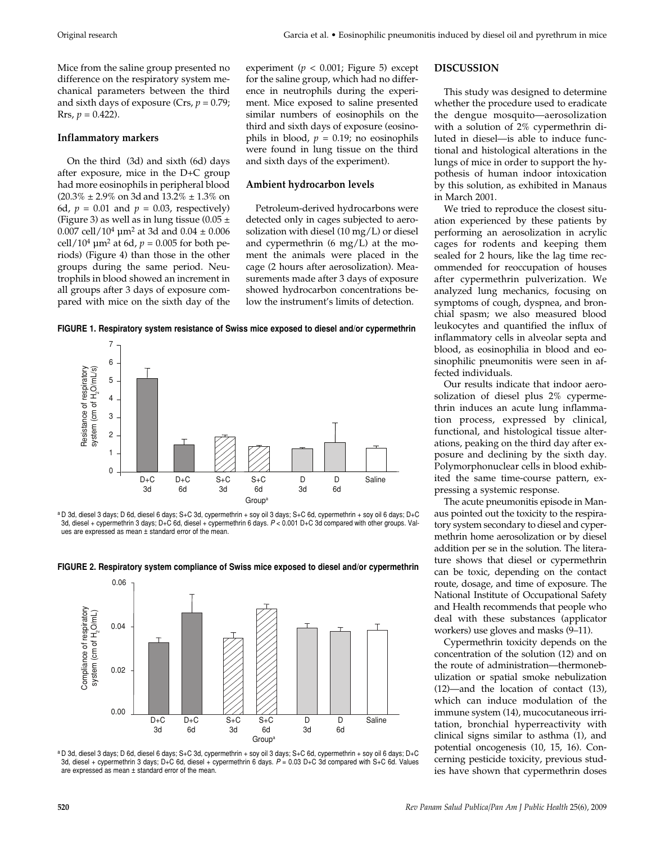Mice from the saline group presented no difference on the respiratory system mechanical parameters between the third and sixth days of exposure (Crs, *p* = 0.79;  $Rrs, p = 0.422$ .

# **Inflammatory markers**

On the third (3d) and sixth (6d) days after exposure, mice in the D+C group had more eosinophils in peripheral blood  $(20.3\% \pm 2.9\% \text{ on } 3d \text{ and } 13.2\% \pm 1.3\% \text{ on }$ 6d,  $p = 0.01$  and  $p = 0.03$ , respectively) (Figure 3) as well as in lung tissue (0.05  $\pm$ 0.007 cell/10<sup>4</sup>  $\mu$ m<sup>2</sup> at 3d and 0.04  $\pm$  0.006 cell/10<sup>4</sup>  $\mu$ m<sup>2</sup> at 6d, *p* = 0.005 for both periods) (Figure 4) than those in the other groups during the same period. Neutrophils in blood showed an increment in all groups after 3 days of exposure compared with mice on the sixth day of the

experiment ( $p < 0.001$ ; Figure 5) except for the saline group, which had no difference in neutrophils during the experiment. Mice exposed to saline presented similar numbers of eosinophils on the third and sixth days of exposure (eosinophils in blood,  $p = 0.19$ ; no eosinophils were found in lung tissue on the third and sixth days of the experiment).

# **Ambient hydrocarbon levels**

Petroleum-derived hydrocarbons were detected only in cages subjected to aerosolization with diesel (10 mg/L) or diesel and cypermethrin  $(6 \text{ mg/L})$  at the moment the animals were placed in the cage (2 hours after aerosolization). Measurements made after 3 days of exposure showed hydrocarbon concentrations below the instrument's limits of detection.

**FIGURE 1. Respiratory system resistance of Swiss mice exposed to diesel and/or cypermethrin**



a D 3d, diesel 3 days; D 6d, diesel 6 days; S+C 3d, cypermethrin + soy oil 3 days; S+C 6d, cypermethrin + soy oil 6 days; D+C 3d, diesel + cypermethrin 3 days; D+C 6d, diesel + cypermethrin 6 days. P < 0.001 D+C 3d compared with other groups. Values are expressed as mean ± standard error of the mean.



**FIGURE 2. Respiratory system compliance of Swiss mice exposed to diesel and/or cypermethrin**

a D 3d, diesel 3 days; D 6d, diesel 6 days; S+C 3d, cypermethrin + soy oil 3 days; S+C 6d, cypermethrin + soy oil 6 days; D+C 3d, diesel + cypermethrin 3 days; D+C 6d, diesel + cypermethrin 6 days. P = 0.03 D+C 3d compared with S+C 6d. Values are expressed as mean ± standard error of the mean.

# **DISCUSSION**

This study was designed to determine whether the procedure used to eradicate the dengue mosquito—aerosolization with a solution of 2% cypermethrin diluted in diesel—is able to induce functional and histological alterations in the lungs of mice in order to support the hypothesis of human indoor intoxication by this solution, as exhibited in Manaus in March 2001.

We tried to reproduce the closest situation experienced by these patients by performing an aerosolization in acrylic cages for rodents and keeping them sealed for 2 hours, like the lag time recommended for reoccupation of houses after cypermethrin pulverization. We analyzed lung mechanics, focusing on symptoms of cough, dyspnea, and bronchial spasm; we also measured blood leukocytes and quantified the influx of inflammatory cells in alveolar septa and blood, as eosinophilia in blood and eosinophilic pneumonitis were seen in affected individuals.

Our results indicate that indoor aerosolization of diesel plus 2% cypermethrin induces an acute lung inflammation process, expressed by clinical, functional, and histological tissue alterations, peaking on the third day after exposure and declining by the sixth day. Polymorphonuclear cells in blood exhibited the same time-course pattern, expressing a systemic response.

The acute pneumonitis episode in Manaus pointed out the toxicity to the respiratory system secondary to diesel and cypermethrin home aerosolization or by diesel addition per se in the solution. The literature shows that diesel or cypermethrin can be toxic, depending on the contact route, dosage, and time of exposure. The National Institute of Occupational Safety and Health recommends that people who deal with these substances (applicator workers) use gloves and masks (9–11).

Cypermethrin toxicity depends on the concentration of the solution (12) and on the route of administration—thermonebulization or spatial smoke nebulization (12)—and the location of contact (13), which can induce modulation of the immune system (14), mucocutaneous irritation, bronchial hyperreactivity with clinical signs similar to asthma (1), and potential oncogenesis (10, 15, 16). Concerning pesticide toxicity, previous studies have shown that cypermethrin doses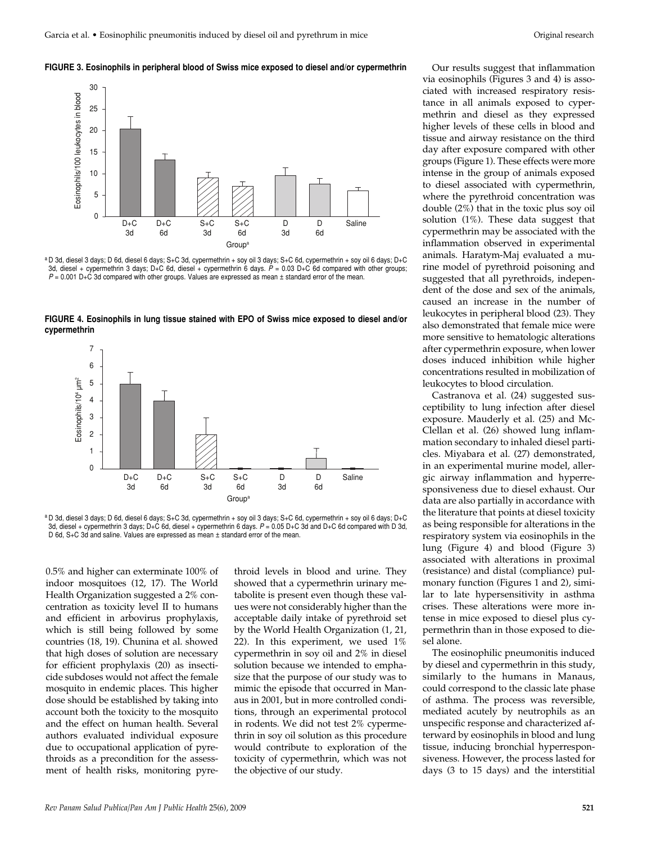#### **FIGURE 3. Eosinophils in peripheral blood of Swiss mice exposed to diesel and/or cypermethrin**



a D 3d, diesel 3 days; D 6d, diesel 6 days; S+C 3d, cypermethrin + soy oil 3 days; S+C 6d, cypermethrin + soy oil 6 days; D+C 3d, diesel + cypermethrin 3 days; D+C 6d, diesel + cypermethrin 6 days. P = 0.03 D+C 6d compared with other groups;  $P = 0.001$  D+C 3d compared with other groups. Values are expressed as mean  $\pm$  standard error of the mean.



**FIGURE 4. Eosinophils in lung tissue stained with EPO of Swiss mice exposed to diesel and/or cypermethrin**



0.5% and higher can exterminate 100% of indoor mosquitoes (12, 17). The World Health Organization suggested a 2% concentration as toxicity level II to humans and efficient in arbovirus prophylaxis, which is still being followed by some countries (18, 19). Chunina et al. showed that high doses of solution are necessary for efficient prophylaxis (20) as insecticide subdoses would not affect the female mosquito in endemic places. This higher dose should be established by taking into account both the toxicity to the mosquito and the effect on human health. Several authors evaluated individual exposure due to occupational application of pyrethroids as a precondition for the assessment of health risks, monitoring pyre-

throid levels in blood and urine. They showed that a cypermethrin urinary metabolite is present even though these values were not considerably higher than the acceptable daily intake of pyrethroid set by the World Health Organization (1, 21, 22). In this experiment, we used 1% cypermethrin in soy oil and 2% in diesel solution because we intended to emphasize that the purpose of our study was to mimic the episode that occurred in Manaus in 2001, but in more controlled conditions, through an experimental protocol in rodents. We did not test 2% cypermethrin in soy oil solution as this procedure would contribute to exploration of the toxicity of cypermethrin, which was not the objective of our study.

Our results suggest that inflammation via eosinophils (Figures 3 and 4) is associated with increased respiratory resistance in all animals exposed to cypermethrin and diesel as they expressed higher levels of these cells in blood and tissue and airway resistance on the third day after exposure compared with other groups (Figure 1). These effects were more intense in the group of animals exposed to diesel associated with cypermethrin, where the pyrethroid concentration was double (2%) that in the toxic plus soy oil solution (1%). These data suggest that cypermethrin may be associated with the inflammation observed in experimental animals. Haratym-Maj evaluated a murine model of pyrethroid poisoning and suggested that all pyrethroids, independent of the dose and sex of the animals, caused an increase in the number of leukocytes in peripheral blood (23). They also demonstrated that female mice were more sensitive to hematologic alterations after cypermethrin exposure, when lower doses induced inhibition while higher concentrations resulted in mobilization of leukocytes to blood circulation.

Castranova et al. (24) suggested susceptibility to lung infection after diesel exposure. Mauderly et al. (25) and Mc-Clellan et al. (26) showed lung inflammation secondary to inhaled diesel particles. Miyabara et al. (27) demonstrated, in an experimental murine model, allergic airway inflammation and hyperresponsiveness due to diesel exhaust. Our data are also partially in accordance with the literature that points at diesel toxicity as being responsible for alterations in the respiratory system via eosinophils in the lung (Figure 4) and blood (Figure 3) associated with alterations in proximal (resistance) and distal (compliance) pulmonary function (Figures 1 and 2), similar to late hypersensitivity in asthma crises. These alterations were more intense in mice exposed to diesel plus cypermethrin than in those exposed to diesel alone.

The eosinophilic pneumonitis induced by diesel and cypermethrin in this study, similarly to the humans in Manaus, could correspond to the classic late phase of asthma. The process was reversible, mediated acutely by neutrophils as an unspecific response and characterized afterward by eosinophils in blood and lung tissue, inducing bronchial hyperresponsiveness. However, the process lasted for days (3 to 15 days) and the interstitial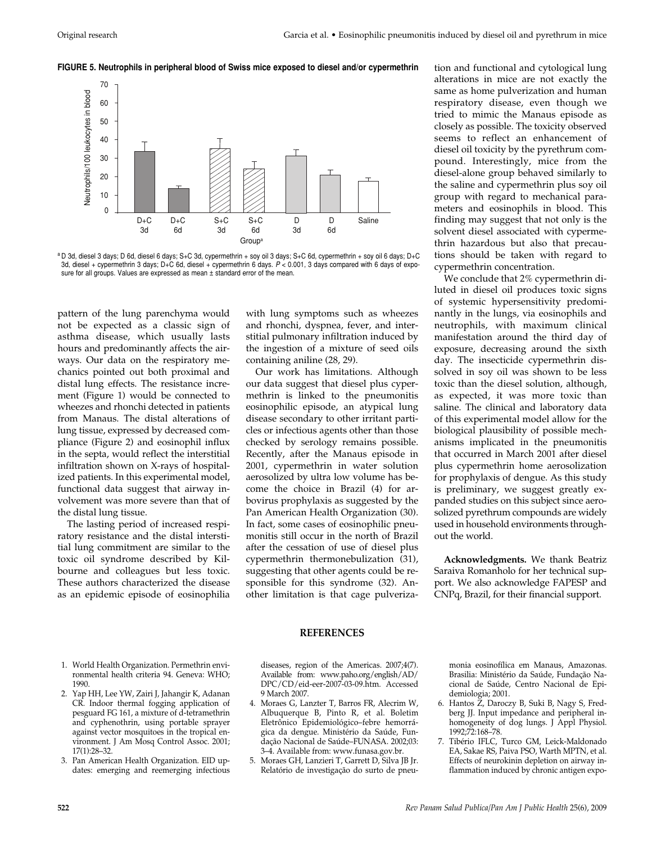#### **FIGURE 5. Neutrophils in peripheral blood of Swiss mice exposed to diesel and/or cypermethrin**



a D 3d, diesel 3 days; D 6d, diesel 6 days; S+C 3d, cypermethrin + soy oil 3 days; S+C 6d, cypermethrin + soy oil 6 days; D+C 3d, diesel + cypermethrin 3 days; D+C 6d, diesel + cypermethrin 6 days. P < 0.001, 3 days compared with 6 days of exposure for all groups. Values are expressed as mean ± standard error of the mean.

pattern of the lung parenchyma would not be expected as a classic sign of asthma disease, which usually lasts hours and predominantly affects the airways. Our data on the respiratory mechanics pointed out both proximal and distal lung effects. The resistance increment (Figure 1) would be connected to wheezes and rhonchi detected in patients from Manaus. The distal alterations of lung tissue, expressed by decreased compliance (Figure 2) and eosinophil influx in the septa, would reflect the interstitial infiltration shown on X-rays of hospitalized patients. In this experimental model, functional data suggest that airway involvement was more severe than that of the distal lung tissue.

The lasting period of increased respiratory resistance and the distal interstitial lung commitment are similar to the toxic oil syndrome described by Kilbourne and colleagues but less toxic. These authors characterized the disease as an epidemic episode of eosinophilia

with lung symptoms such as wheezes and rhonchi, dyspnea, fever, and interstitial pulmonary infiltration induced by the ingestion of a mixture of seed oils containing aniline (28, 29).

Our work has limitations. Although our data suggest that diesel plus cypermethrin is linked to the pneumonitis eosinophilic episode, an atypical lung disease secondary to other irritant particles or infectious agents other than those checked by serology remains possible. Recently, after the Manaus episode in 2001, cypermethrin in water solution aerosolized by ultra low volume has become the choice in Brazil (4) for arbovirus prophylaxis as suggested by the Pan American Health Organization (30). In fact, some cases of eosinophilic pneumonitis still occur in the north of Brazil after the cessation of use of diesel plus cypermethrin thermonebulization (31), suggesting that other agents could be responsible for this syndrome (32). Another limitation is that cage pulverization and functional and cytological lung alterations in mice are not exactly the same as home pulverization and human respiratory disease, even though we tried to mimic the Manaus episode as closely as possible. The toxicity observed seems to reflect an enhancement of diesel oil toxicity by the pyrethrum compound. Interestingly, mice from the diesel-alone group behaved similarly to the saline and cypermethrin plus soy oil group with regard to mechanical parameters and eosinophils in blood. This finding may suggest that not only is the solvent diesel associated with cypermethrin hazardous but also that precautions should be taken with regard to cypermethrin concentration.

We conclude that 2% cypermethrin diluted in diesel oil produces toxic signs of systemic hypersensitivity predominantly in the lungs, via eosinophils and neutrophils, with maximum clinical manifestation around the third day of exposure, decreasing around the sixth day. The insecticide cypermethrin dissolved in soy oil was shown to be less toxic than the diesel solution, although, as expected, it was more toxic than saline. The clinical and laboratory data of this experimental model allow for the biological plausibility of possible mechanisms implicated in the pneumonitis that occurred in March 2001 after diesel plus cypermethrin home aerosolization for prophylaxis of dengue. As this study is preliminary, we suggest greatly expanded studies on this subject since aerosolized pyrethrum compounds are widely used in household environments throughout the world.

**Acknowledgments.** We thank Beatriz Saraiva Romanholo for her technical support. We also acknowledge FAPESP and CNPq, Brazil, for their financial support.

# **REFERENCES**

- 1. World Health Organization. Permethrin environmental health criteria 94. Geneva: WHO; 1990.
- 2. Yap HH, Lee YW, Zairi J, Jahangir K, Adanan CR. Indoor thermal fogging application of pesguard FG 161, a mixture of d-tetramethrin and cyphenothrin, using portable sprayer against vector mosquitoes in the tropical environment. J Am Mosq Control Assoc. 2001; 17(1):28–32.
- 3. Pan American Health Organization. EID updates: emerging and reemerging infectious

diseases, region of the Americas. 2007;4(7). Available from: www.paho.org/english/AD/ DPC/CD/eid-eer-2007-03-09.htm. Accessed 9 March 2007.

- 4. Moraes G, Lanzter T, Barros FR, Alecrim W, Albuquerque B, Pinto R, et al. Boletim Eletrônico Epidemiológico–febre hemorrágica da dengue. Ministério da Saúde, Fundação Nacional de Saúde–FUNASA. 2002;03: 3–4. Available from: www.funasa.gov.br.
- 5. Moraes GH, Lanzieri T, Garrett D, Silva JB Jr. Relatório de investigação do surto de pneu-

monia eosinofílica em Manaus, Amazonas. Brasilia: Ministério da Saúde, Fundação Nacional de Saúde, Centro Nacional de Epidemiologia; 2001.

- 6. Hantos Z, Daroczy B, Suki B, Nagy S, Fredberg JJ. Input impedance and peripheral inhomogeneity of dog lungs. J Appl Physiol. 1992;72:168–78.
- 7. Tibério IFLC, Turco GM, Leick-Maldonado EA, Sakae RS, Paiva PSO, Warth MPTN, et al. Effects of neurokinin depletion on airway inflammation induced by chronic antigen expo-